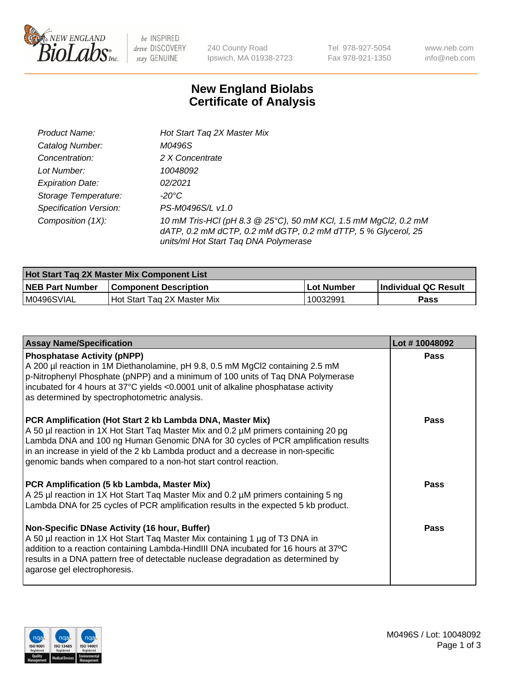

be INSPIRED drive DISCOVERY stay GENUINE

240 County Road Ipswich, MA 01938-2723 Tel 978-927-5054 Fax 978-921-1350 www.neb.com info@neb.com

## **New England Biolabs Certificate of Analysis**

| Product Name:                 | Hot Start Tag 2X Master Mix                                                                                                                                               |
|-------------------------------|---------------------------------------------------------------------------------------------------------------------------------------------------------------------------|
| Catalog Number:               | M0496S                                                                                                                                                                    |
| Concentration:                | 2 X Concentrate                                                                                                                                                           |
| Lot Number:                   | 10048092                                                                                                                                                                  |
| <b>Expiration Date:</b>       | 02/2021                                                                                                                                                                   |
| Storage Temperature:          | -20°C                                                                                                                                                                     |
| <b>Specification Version:</b> | PS-M0496S/L v1.0                                                                                                                                                          |
| Composition (1X):             | 10 mM Tris-HCl (pH 8.3 @ 25°C), 50 mM KCl, 1.5 mM MgCl2, 0.2 mM<br>dATP, 0.2 mM dCTP, 0.2 mM dGTP, 0.2 mM dTTP, 5 % Glycerol, 25<br>units/ml Hot Start Taq DNA Polymerase |

| Hot Start Tag 2X Master Mix Component List |                              |            |                      |  |
|--------------------------------------------|------------------------------|------------|----------------------|--|
| <b>NEB Part Number</b>                     | <b>Component Description</b> | Lot Number | Individual QC Result |  |
| M0496SVIAL                                 | Hot Start Tag 2X Master Mix  | 10032991   | Pass                 |  |

| <b>Assay Name/Specification</b>                                                                                                                                                                                                                                                                                                                                                                 | Lot #10048092 |
|-------------------------------------------------------------------------------------------------------------------------------------------------------------------------------------------------------------------------------------------------------------------------------------------------------------------------------------------------------------------------------------------------|---------------|
| <b>Phosphatase Activity (pNPP)</b><br>A 200 µl reaction in 1M Diethanolamine, pH 9.8, 0.5 mM MgCl2 containing 2.5 mM<br>p-Nitrophenyl Phosphate (pNPP) and a minimum of 100 units of Taq DNA Polymerase<br>incubated for 4 hours at 37°C yields <0.0001 unit of alkaline phosphatase activity<br>as determined by spectrophotometric analysis.                                                  | Pass          |
| PCR Amplification (Hot Start 2 kb Lambda DNA, Master Mix)<br>A 50 µl reaction in 1X Hot Start Taq Master Mix and 0.2 µM primers containing 20 pg<br>Lambda DNA and 100 ng Human Genomic DNA for 30 cycles of PCR amplification results<br>in an increase in yield of the 2 kb Lambda product and a decrease in non-specific<br>genomic bands when compared to a non-hot start control reaction. | Pass          |
| PCR Amplification (5 kb Lambda, Master Mix)<br>A 25 µl reaction in 1X Hot Start Tag Master Mix and 0.2 µM primers containing 5 ng<br>Lambda DNA for 25 cycles of PCR amplification results in the expected 5 kb product.                                                                                                                                                                        | Pass          |
| Non-Specific DNase Activity (16 hour, Buffer)<br>A 50 µl reaction in 1X Hot Start Taq Master Mix containing 1 µg of T3 DNA in<br>addition to a reaction containing Lambda-HindIII DNA incubated for 16 hours at 37°C<br>results in a DNA pattern free of detectable nuclease degradation as determined by<br>agarose gel electrophoresis.                                                       | Pass          |

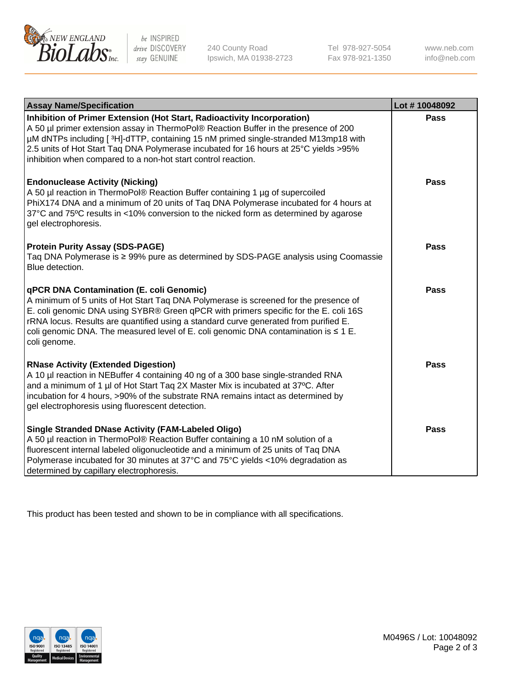

 $be$  INSPIRED drive DISCOVERY stay GENUINE

240 County Road Ipswich, MA 01938-2723 Tel 978-927-5054 Fax 978-921-1350 www.neb.com info@neb.com

| <b>Assay Name/Specification</b>                                                                                                                                                                                                                                                                                                                                                                                                     | Lot #10048092 |
|-------------------------------------------------------------------------------------------------------------------------------------------------------------------------------------------------------------------------------------------------------------------------------------------------------------------------------------------------------------------------------------------------------------------------------------|---------------|
| Inhibition of Primer Extension (Hot Start, Radioactivity Incorporation)<br>A 50 µl primer extension assay in ThermoPol® Reaction Buffer in the presence of 200<br>µM dNTPs including [3H]-dTTP, containing 15 nM primed single-stranded M13mp18 with<br>2.5 units of Hot Start Taq DNA Polymerase incubated for 16 hours at 25°C yields > 95%<br>inhibition when compared to a non-hot start control reaction.                      | <b>Pass</b>   |
| <b>Endonuclease Activity (Nicking)</b><br>A 50 µl reaction in ThermoPol® Reaction Buffer containing 1 µg of supercoiled<br>PhiX174 DNA and a minimum of 20 units of Taq DNA Polymerase incubated for 4 hours at<br>37°C and 75°C results in <10% conversion to the nicked form as determined by agarose<br>gel electrophoresis.                                                                                                     | Pass          |
| <b>Protein Purity Assay (SDS-PAGE)</b><br>Taq DNA Polymerase is ≥ 99% pure as determined by SDS-PAGE analysis using Coomassie<br>Blue detection.                                                                                                                                                                                                                                                                                    | <b>Pass</b>   |
| <b>qPCR DNA Contamination (E. coli Genomic)</b><br>A minimum of 5 units of Hot Start Taq DNA Polymerase is screened for the presence of<br>E. coli genomic DNA using SYBR® Green qPCR with primers specific for the E. coli 16S<br>rRNA locus. Results are quantified using a standard curve generated from purified E.<br>coli genomic DNA. The measured level of E. coli genomic DNA contamination is $\leq 1$ E.<br>coli genome. | <b>Pass</b>   |
| <b>RNase Activity (Extended Digestion)</b><br>A 10 µl reaction in NEBuffer 4 containing 40 ng of a 300 base single-stranded RNA<br>and a minimum of 1 µl of Hot Start Taq 2X Master Mix is incubated at 37°C. After<br>incubation for 4 hours, >90% of the substrate RNA remains intact as determined by<br>gel electrophoresis using fluorescent detection.                                                                        | <b>Pass</b>   |
| <b>Single Stranded DNase Activity (FAM-Labeled Oligo)</b><br>A 50 µl reaction in ThermoPol® Reaction Buffer containing a 10 nM solution of a<br>fluorescent internal labeled oligonucleotide and a minimum of 25 units of Taq DNA<br>Polymerase incubated for 30 minutes at 37°C and 75°C yields <10% degradation as<br>determined by capillary electrophoresis.                                                                    | <b>Pass</b>   |

This product has been tested and shown to be in compliance with all specifications.